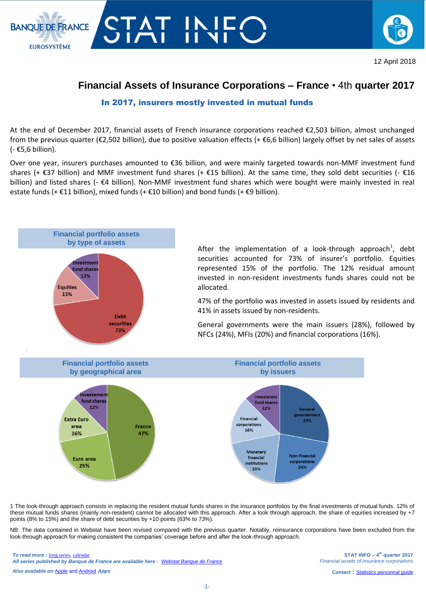



## **Financial Assets of Insurance Corporations – France** • 4th **quarter 2017**

## In 2017, insurers mostly invested in mutual funds

At the end of December 2017, financial assets of French insurance corporations reached €2,503 billion, almost unchanged from the previous quarter (€2,502 billion), due to positive valuation effects (+ €6,6 billion) largely offset by net sales of assets (- €5,6 billion).

Over one year, insurers purchases amounted to €36 billion, and were mainly targeted towards non-MMF investment fund shares (+  $\epsilon$ 37 billion) and MMF investment fund shares (+  $\epsilon$ 15 billion). At the same time, they sold debt securities (-  $\epsilon$ 16 billion) and listed shares (- €4 billion). Non-MMF investment fund shares which were bought were mainly invested in real estate funds (+ €11 billion), mixed funds (+ €10 billion) and bond funds (+ €9 billion).



After the implementation of a look-through approach<sup>1</sup>, debt securities accounted for 73% of insurer's portfolio. Equities represented 15% of the portfolio. The 12% residual amount invested in non-resident investments funds shares could not be allocated.

47% of the portfolio was invested in assets issued by residents and 41% in assets issued by non-residents.

General governments were the main issuers (28%), followed by NFCs (24%), MFIs (20%) and financial corporations (16%).



1 The look-through approach consists in replacing the resident mutual funds shares in the insurance portfolios by the final investments of mutual funds. 12% of these mutual funds shares (mainly non-resident) cannot be allocated with this approach. After a look through approach, the share of equities increased by +7 points (8% to 15%) and the share of debt securities by +10 points (63% to 73%).

NB: The data contained in Webstat have been revised compared with the previous quarter. Notably, reinsurance corporations have been excluded from the look-through approach for making consistent the companies' coverage before and after the look-through approach.

*To read more :* [long series,](http://webstat.banque-france.fr/fr/browse.do?node=5384484) [calendar](https://www.banque-france.fr/en/statistics/calendar) *All series published by Banque de France are available here : [Webstat Banque de France](http://webstat.banque-france.fr/en/)*

*Also available on* [Apple](https://itunes.apple.com/fr/app/banquefrance/id663817914?l=fr&ls=1&mt=8) and [Android](https://play.google.com/store/apps/details?id=fr.bdf.mobile&feature=search_result#?t=W251bGwsMSwyLDEsImZyLmJkZi5tb2JpbGUiXQ) *Apps*

**STAT INFO – 4 th quarter 2017** *Financial assets of insurance corporations*

*Contact* : *[Statistics personnal](mailto:gps.support@banque-france.fr?subject=[Support%20statistique]%20Placements%20assurances) guide*